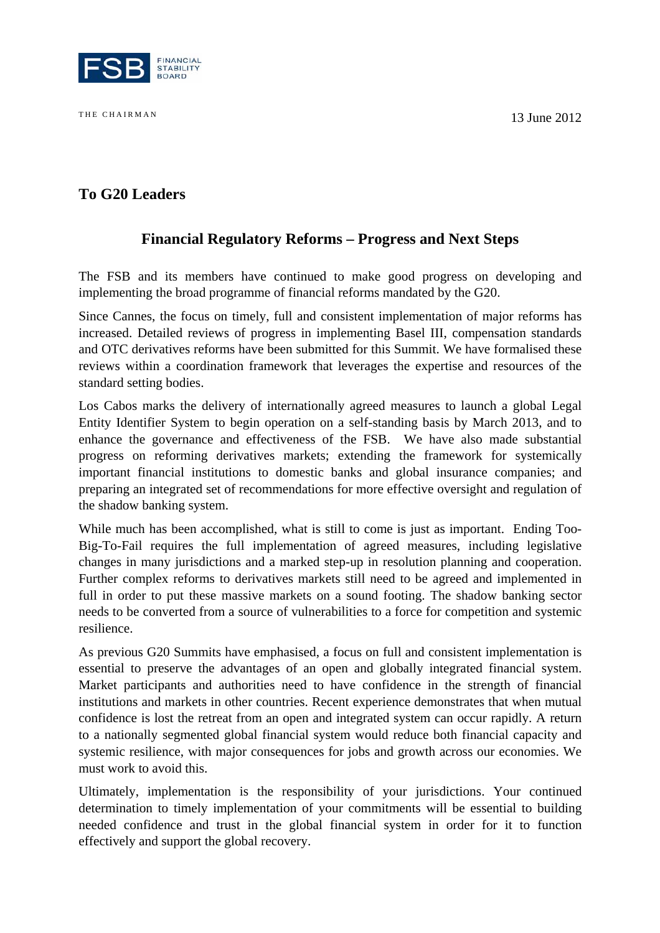

THE CHAIRMAN 13 June 2012

# **To G20 Leaders**

## **Financial Regulatory Reforms – Progress and Next Steps**

The FSB and its members have continued to make good progress on developing and implementing the broad programme of financial reforms mandated by the G20.

Since Cannes, the focus on timely, full and consistent implementation of major reforms has increased. Detailed reviews of progress in implementing Basel III, compensation standards and OTC derivatives reforms have been submitted for this Summit. We have formalised these reviews within a coordination framework that leverages the expertise and resources of the standard setting bodies.

Los Cabos marks the delivery of internationally agreed measures to launch a global Legal Entity Identifier System to begin operation on a self-standing basis by March 2013, and to enhance the governance and effectiveness of the FSB. We have also made substantial progress on reforming derivatives markets; extending the framework for systemically important financial institutions to domestic banks and global insurance companies; and preparing an integrated set of recommendations for more effective oversight and regulation of the shadow banking system.

While much has been accomplished, what is still to come is just as important. Ending Too-Big-To-Fail requires the full implementation of agreed measures, including legislative changes in many jurisdictions and a marked step-up in resolution planning and cooperation. Further complex reforms to derivatives markets still need to be agreed and implemented in full in order to put these massive markets on a sound footing. The shadow banking sector needs to be converted from a source of vulnerabilities to a force for competition and systemic resilience.

As previous G20 Summits have emphasised, a focus on full and consistent implementation is essential to preserve the advantages of an open and globally integrated financial system. Market participants and authorities need to have confidence in the strength of financial institutions and markets in other countries. Recent experience demonstrates that when mutual confidence is lost the retreat from an open and integrated system can occur rapidly. A return to a nationally segmented global financial system would reduce both financial capacity and systemic resilience, with major consequences for jobs and growth across our economies. We must work to avoid this.

Ultimately, implementation is the responsibility of your jurisdictions. Your continued determination to timely implementation of your commitments will be essential to building needed confidence and trust in the global financial system in order for it to function effectively and support the global recovery.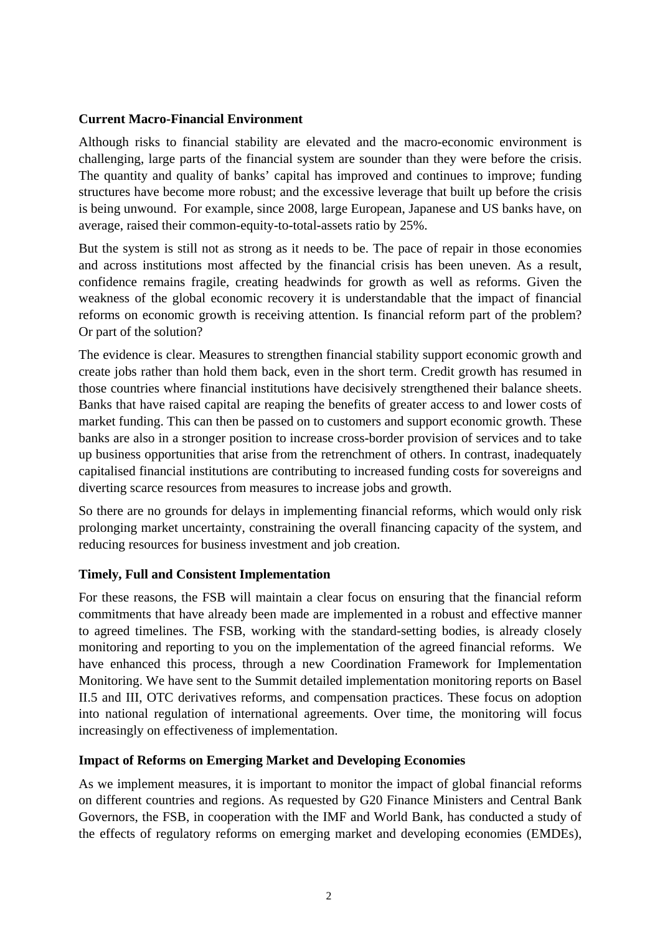#### **Current Macro-Financial Environment**

Although risks to financial stability are elevated and the macro-economic environment is challenging, large parts of the financial system are sounder than they were before the crisis. The quantity and quality of banks' capital has improved and continues to improve; funding structures have become more robust; and the excessive leverage that built up before the crisis is being unwound. For example, since 2008, large European, Japanese and US banks have, on average, raised their common-equity-to-total-assets ratio by 25%.

But the system is still not as strong as it needs to be. The pace of repair in those economies and across institutions most affected by the financial crisis has been uneven. As a result, confidence remains fragile, creating headwinds for growth as well as reforms. Given the weakness of the global economic recovery it is understandable that the impact of financial reforms on economic growth is receiving attention. Is financial reform part of the problem? Or part of the solution?

The evidence is clear. Measures to strengthen financial stability support economic growth and create jobs rather than hold them back, even in the short term. Credit growth has resumed in those countries where financial institutions have decisively strengthened their balance sheets. Banks that have raised capital are reaping the benefits of greater access to and lower costs of market funding. This can then be passed on to customers and support economic growth. These banks are also in a stronger position to increase cross-border provision of services and to take up business opportunities that arise from the retrenchment of others. In contrast, inadequately capitalised financial institutions are contributing to increased funding costs for sovereigns and diverting scarce resources from measures to increase jobs and growth.

So there are no grounds for delays in implementing financial reforms, which would only risk prolonging market uncertainty, constraining the overall financing capacity of the system, and reducing resources for business investment and job creation.

### **Timely, Full and Consistent Implementation**

For these reasons, the FSB will maintain a clear focus on ensuring that the financial reform commitments that have already been made are implemented in a robust and effective manner to agreed timelines. The FSB, working with the standard-setting bodies, is already closely monitoring and reporting to you on the implementation of the agreed financial reforms. We have enhanced this process, through a new Coordination Framework for Implementation Monitoring. We have sent to the Summit detailed implementation monitoring reports on Basel II.5 and III, OTC derivatives reforms, and compensation practices. These focus on adoption into national regulation of international agreements. Over time, the monitoring will focus increasingly on effectiveness of implementation.

### **Impact of Reforms on Emerging Market and Developing Economies**

As we implement measures, it is important to monitor the impact of global financial reforms on different countries and regions. As requested by G20 Finance Ministers and Central Bank Governors, the FSB, in cooperation with the IMF and World Bank, has conducted a study of the effects of regulatory reforms on emerging market and developing economies (EMDEs),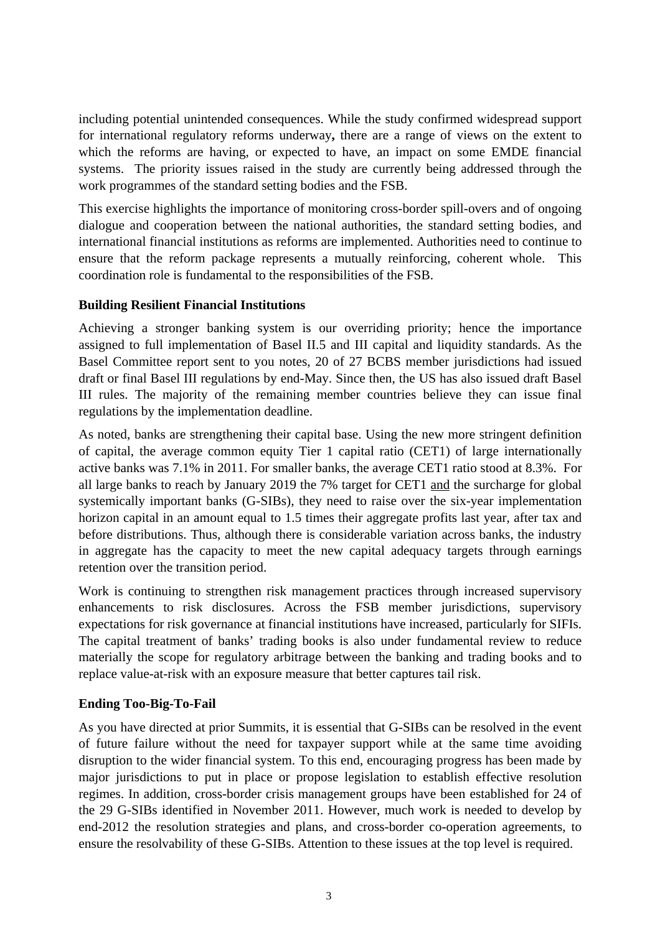including potential unintended consequences. While the study confirmed widespread support for international regulatory reforms underway**,** there are a range of views on the extent to which the reforms are having, or expected to have, an impact on some EMDE financial systems. The priority issues raised in the study are currently being addressed through the work programmes of the standard setting bodies and the FSB.

This exercise highlights the importance of monitoring cross-border spill-overs and of ongoing dialogue and cooperation between the national authorities, the standard setting bodies, and international financial institutions as reforms are implemented. Authorities need to continue to ensure that the reform package represents a mutually reinforcing, coherent whole. This coordination role is fundamental to the responsibilities of the FSB.

### **Building Resilient Financial Institutions**

Achieving a stronger banking system is our overriding priority; hence the importance assigned to full implementation of Basel II.5 and III capital and liquidity standards. As the Basel Committee report sent to you notes, 20 of 27 BCBS member jurisdictions had issued draft or final Basel III regulations by end-May. Since then, the US has also issued draft Basel III rules. The majority of the remaining member countries believe they can issue final regulations by the implementation deadline.

As noted, banks are strengthening their capital base. Using the new more stringent definition of capital, the average common equity Tier 1 capital ratio (CET1) of large internationally active banks was 7.1% in 2011. For smaller banks, the average CET1 ratio stood at 8.3%. For all large banks to reach by January 2019 the 7% target for CET1 and the surcharge for global systemically important banks (G-SIBs), they need to raise over the six-year implementation horizon capital in an amount equal to 1.5 times their aggregate profits last year, after tax and before distributions. Thus, although there is considerable variation across banks, the industry in aggregate has the capacity to meet the new capital adequacy targets through earnings retention over the transition period.

Work is continuing to strengthen risk management practices through increased supervisory enhancements to risk disclosures. Across the FSB member jurisdictions, supervisory expectations for risk governance at financial institutions have increased, particularly for SIFIs. The capital treatment of banks' trading books is also under fundamental review to reduce materially the scope for regulatory arbitrage between the banking and trading books and to replace value-at-risk with an exposure measure that better captures tail risk.

### **Ending Too-Big-To-Fail**

As you have directed at prior Summits, it is essential that G-SIBs can be resolved in the event of future failure without the need for taxpayer support while at the same time avoiding disruption to the wider financial system. To this end, encouraging progress has been made by major jurisdictions to put in place or propose legislation to establish effective resolution regimes. In addition, cross-border crisis management groups have been established for 24 of the 29 G-SIBs identified in November 2011. However, much work is needed to develop by end-2012 the resolution strategies and plans, and cross-border co-operation agreements, to ensure the resolvability of these G-SIBs. Attention to these issues at the top level is required.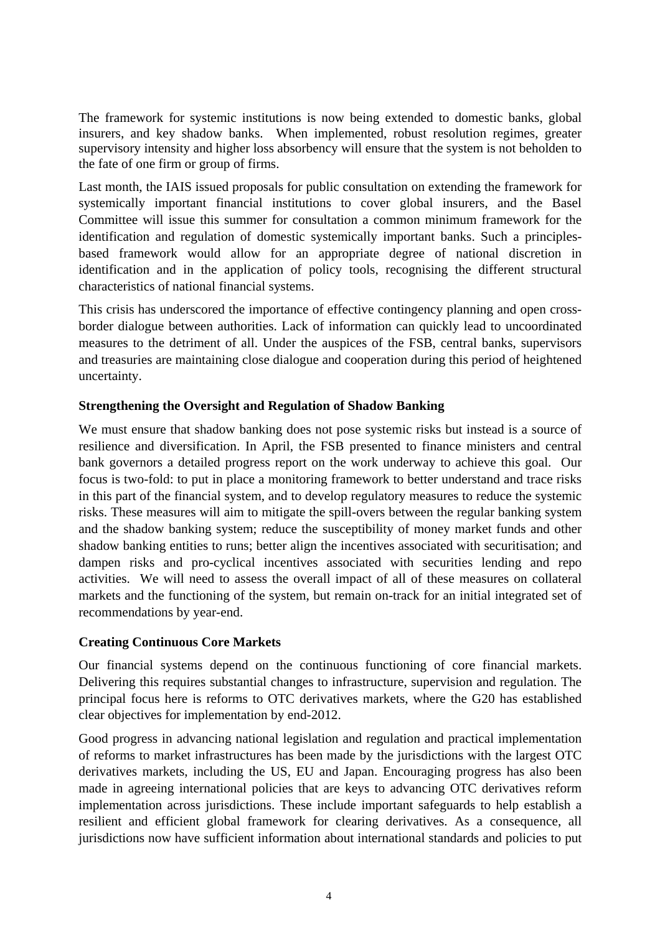The framework for systemic institutions is now being extended to domestic banks, global insurers, and key shadow banks. When implemented, robust resolution regimes, greater supervisory intensity and higher loss absorbency will ensure that the system is not beholden to the fate of one firm or group of firms.

Last month, the IAIS issued proposals for public consultation on extending the framework for systemically important financial institutions to cover global insurers, and the Basel Committee will issue this summer for consultation a common minimum framework for the identification and regulation of domestic systemically important banks. Such a principlesbased framework would allow for an appropriate degree of national discretion in identification and in the application of policy tools, recognising the different structural characteristics of national financial systems.

This crisis has underscored the importance of effective contingency planning and open crossborder dialogue between authorities. Lack of information can quickly lead to uncoordinated measures to the detriment of all. Under the auspices of the FSB, central banks, supervisors and treasuries are maintaining close dialogue and cooperation during this period of heightened uncertainty.

### **Strengthening the Oversight and Regulation of Shadow Banking**

We must ensure that shadow banking does not pose systemic risks but instead is a source of resilience and diversification. In April, the FSB presented to finance ministers and central bank governors a detailed progress report on the work underway to achieve this goal. Our focus is two-fold: to put in place a monitoring framework to better understand and trace risks in this part of the financial system, and to develop regulatory measures to reduce the systemic risks. These measures will aim to mitigate the spill-overs between the regular banking system and the shadow banking system; reduce the susceptibility of money market funds and other shadow banking entities to runs; better align the incentives associated with securitisation; and dampen risks and pro-cyclical incentives associated with securities lending and repo activities. We will need to assess the overall impact of all of these measures on collateral markets and the functioning of the system, but remain on-track for an initial integrated set of recommendations by year-end.

### **Creating Continuous Core Markets**

Our financial systems depend on the continuous functioning of core financial markets. Delivering this requires substantial changes to infrastructure, supervision and regulation. The principal focus here is reforms to OTC derivatives markets, where the G20 has established clear objectives for implementation by end-2012.

Good progress in advancing national legislation and regulation and practical implementation of reforms to market infrastructures has been made by the jurisdictions with the largest OTC derivatives markets, including the US, EU and Japan. Encouraging progress has also been made in agreeing international policies that are keys to advancing OTC derivatives reform implementation across jurisdictions. These include important safeguards to help establish a resilient and efficient global framework for clearing derivatives. As a consequence, all jurisdictions now have sufficient information about international standards and policies to put